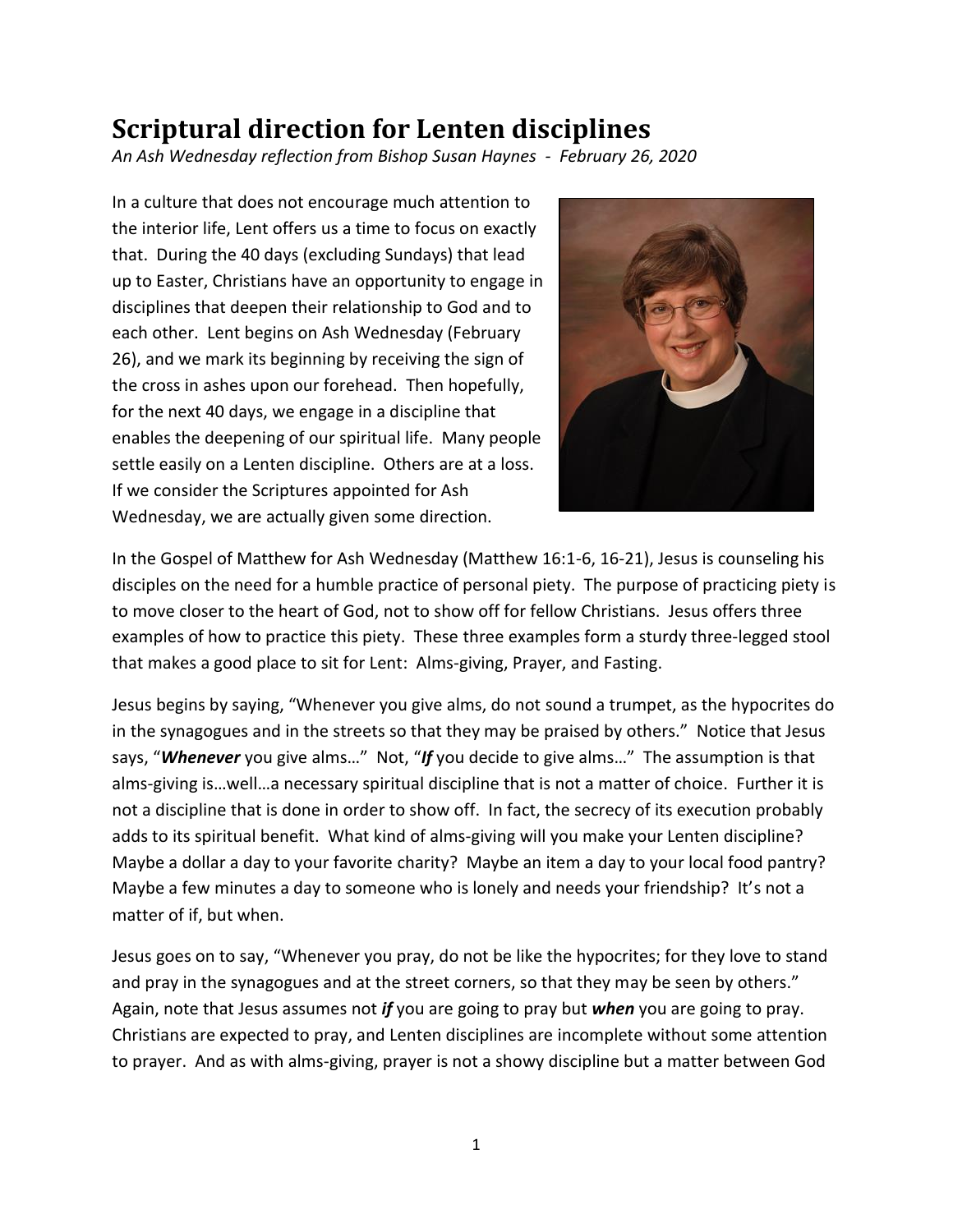## **Scriptural direction for Lenten disciplines**

*An Ash Wednesday reflection from Bishop Susan Haynes - February 26, 2020*

In a culture that does not encourage much attention to the interior life, Lent offers us a time to focus on exactly that. During the 40 days (excluding Sundays) that lead up to Easter, Christians have an opportunity to engage in disciplines that deepen their relationship to God and to each other. Lent begins on Ash Wednesday (February 26), and we mark its beginning by receiving the sign of the cross in ashes upon our forehead. Then hopefully, for the next 40 days, we engage in a discipline that enables the deepening of our spiritual life. Many people settle easily on a Lenten discipline. Others are at a loss. If we consider the Scriptures appointed for Ash Wednesday, we are actually given some direction.



In the Gospel of Matthew for Ash Wednesday (Matthew 16:1-6, 16-21), Jesus is counseling his disciples on the need for a humble practice of personal piety. The purpose of practicing piety is to move closer to the heart of God, not to show off for fellow Christians. Jesus offers three examples of how to practice this piety. These three examples form a sturdy three-legged stool that makes a good place to sit for Lent: Alms-giving, Prayer, and Fasting.

Jesus begins by saying, "Whenever you give alms, do not sound a trumpet, as the hypocrites do in the synagogues and in the streets so that they may be praised by others." Notice that Jesus says, "*Whenever* you give alms…" Not, "*If* you decide to give alms…" The assumption is that alms-giving is…well…a necessary spiritual discipline that is not a matter of choice. Further it is not a discipline that is done in order to show off. In fact, the secrecy of its execution probably adds to its spiritual benefit. What kind of alms-giving will you make your Lenten discipline? Maybe a dollar a day to your favorite charity? Maybe an item a day to your local food pantry? Maybe a few minutes a day to someone who is lonely and needs your friendship? It's not a matter of if, but when.

Jesus goes on to say, "Whenever you pray, do not be like the hypocrites; for they love to stand and pray in the synagogues and at the street corners, so that they may be seen by others." Again, note that Jesus assumes not *if* you are going to pray but *when* you are going to pray. Christians are expected to pray, and Lenten disciplines are incomplete without some attention to prayer. And as with alms-giving, prayer is not a showy discipline but a matter between God